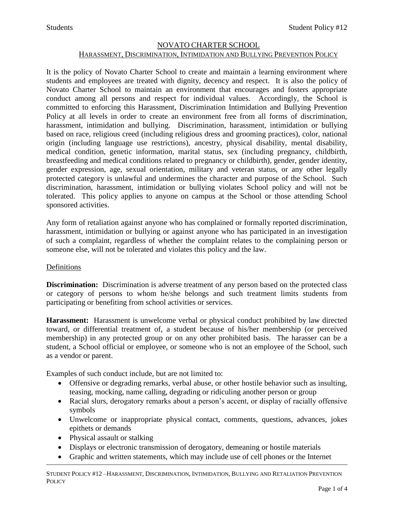### NOVATO CHARTER SCHOOL

# HARASSMENT, DISCRIMINATION, INTIMIDATION AND BULLYING PREVENTION POLICY

It is the policy of Novato Charter School to create and maintain a learning environment where students and employees are treated with dignity, decency and respect. It is also the policy of Novato Charter School to maintain an environment that encourages and fosters appropriate conduct among all persons and respect for individual values. Accordingly, the School is committed to enforcing this Harassment, Discrimination Intimidation and Bullying Prevention Policy at all levels in order to create an environment free from all forms of discrimination, harassment, intimidation and bullying. Discrimination, harassment, intimidation or bullying based on race, religious creed (including religious dress and grooming practices), color, national origin (including language use restrictions), ancestry, physical disability, mental disability, medical condition, genetic information, marital status, sex (including pregnancy, childbirth, breastfeeding and medical conditions related to pregnancy or childbirth), gender, gender identity, gender expression, age, sexual orientation, military and veteran status, or any other legally protected category is unlawful and undermines the character and purpose of the School. Such discrimination, harassment, intimidation or bullying violates School policy and will not be tolerated. This policy applies to anyone on campus at the School or those attending School sponsored activities.

Any form of retaliation against anyone who has complained or formally reported discrimination, harassment, intimidation or bullying or against anyone who has participated in an investigation of such a complaint, regardless of whether the complaint relates to the complaining person or someone else, will not be tolerated and violates this policy and the law.

### Definitions

**Discrimination:** Discrimination is adverse treatment of any person based on the protected class or category of persons to whom he/she belongs and such treatment limits students from participating or benefiting from school activities or services.

**Harassment:** Harassment is unwelcome verbal or physical conduct prohibited by law directed toward, or differential treatment of, a student because of his/her membership (or perceived membership) in any protected group or on any other prohibited basis. The harasser can be a student, a School official or employee, or someone who is not an employee of the School, such as a vendor or parent.

Examples of such conduct include, but are not limited to:

- Offensive or degrading remarks, verbal abuse, or other hostile behavior such as insulting, teasing, mocking, name calling, degrading or ridiculing another person or group
- Racial slurs, derogatory remarks about a person's accent, or display of racially offensive symbols
- Unwelcome or inappropriate physical contact, comments, questions, advances, jokes epithets or demands
- Physical assault or stalking
- Displays or electronic transmission of derogatory, demeaning or hostile materials
- Graphic and written statements, which may include use of cell phones or the Internet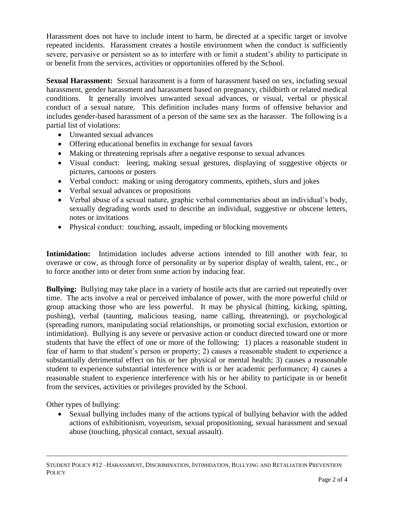Harassment does not have to include intent to harm, be directed at a specific target or involve repeated incidents. Harassment creates a hostile environment when the conduct is sufficiently severe, pervasive or persistent so as to interfere with or limit a student's ability to participate in or benefit from the services, activities or opportunities offered by the School.

**Sexual Harassment:** Sexual harassment is a form of harassment based on sex, including sexual harassment, gender harassment and harassment based on pregnancy, childbirth or related medical conditions. It generally involves unwanted sexual advances, or visual, verbal or physical conduct of a sexual nature. This definition includes many forms of offensive behavior and includes gender-based harassment of a person of the same sex as the harasser. The following is a partial list of violations:

- Unwanted sexual advances
- Offering educational benefits in exchange for sexual favors
- Making or threatening reprisals after a negative response to sexual advances
- Visual conduct: leering, making sexual gestures, displaying of suggestive objects or pictures, cartoons or posters
- Verbal conduct: making or using derogatory comments, epithets, slurs and jokes
- Verbal sexual advances or propositions
- Verbal abuse of a sexual nature, graphic verbal commentaries about an individual's body, sexually degrading words used to describe an individual, suggestive or obscene letters, notes or invitations
- Physical conduct: touching, assault, impeding or blocking movements

**Intimidation:** Intimidation includes adverse actions intended to fill another with fear, to overawe or cow, as through force of personality or by superior display of wealth, talent, etc., or to force another into or deter from some action by inducing fear.

**Bullying:** Bullying may take place in a variety of hostile acts that are carried out repeatedly over time. The acts involve a real or perceived imbalance of power, with the more powerful child or group attacking those who are less powerful. It may be physical (hitting, kicking, spitting, pushing), verbal (taunting, malicious teasing, name calling, threatening), or psychological (spreading rumors, manipulating social relationships, or promoting social exclusion, extortion or intimidation). Bullying is any severe or pervasive action or conduct directed toward one or more students that have the effect of one or more of the following: 1) places a reasonable student in fear of harm to that student's person or property; 2) causes a reasonable student to experience a substantially detrimental effect on his or her physical or mental health; 3) causes a reasonable student to experience substantial interference with is or her academic performance; 4) causes a reasonable student to experience interference with his or her ability to participate in or benefit from the services, activities or privileges provided by the School.

Other types of bullying:

 Sexual bullying includes many of the actions typical of bullying behavior with the added actions of exhibitionism, voyeurism, sexual propositioning, sexual harassment and sexual abuse (touching, physical contact, sexual assault).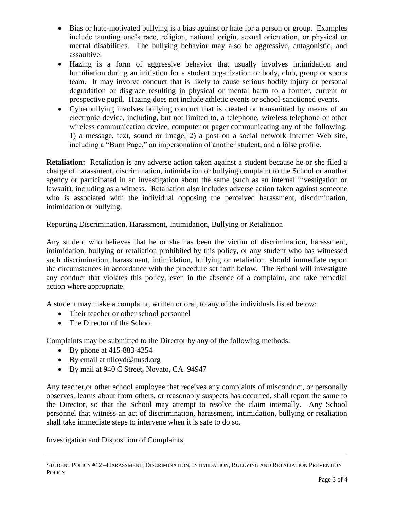- Bias or hate-motivated bullying is a bias against or hate for a person or group. Examples include taunting one's race, religion, national origin, sexual orientation, or physical or mental disabilities. The bullying behavior may also be aggressive, antagonistic, and assaultive.
- Hazing is a form of aggressive behavior that usually involves intimidation and humiliation during an initiation for a student organization or body, club, group or sports team. It may involve conduct that is likely to cause serious bodily injury or personal degradation or disgrace resulting in physical or mental harm to a former, current or prospective pupil. Hazing does not include athletic events or school-sanctioned events.
- Cyberbullying involves bullying conduct that is created or transmitted by means of an electronic device, including, but not limited to, a telephone, wireless telephone or other wireless communication device, computer or pager communicating any of the following: 1) a message, text, sound or image; 2) a post on a social network Internet Web site, including a "Burn Page," an impersonation of another student, and a false profile.

**Retaliation:** Retaliation is any adverse action taken against a student because he or she filed a charge of harassment, discrimination, intimidation or bullying complaint to the School or another agency or participated in an investigation about the same (such as an internal investigation or lawsuit), including as a witness. Retaliation also includes adverse action taken against someone who is associated with the individual opposing the perceived harassment, discrimination, intimidation or bullying.

# Reporting Discrimination, Harassment, Intimidation, Bullying or Retaliation

Any student who believes that he or she has been the victim of discrimination, harassment, intimidation, bullying or retaliation prohibited by this policy, or any student who has witnessed such discrimination, harassment, intimidation, bullying or retaliation, should immediate report the circumstances in accordance with the procedure set forth below. The School will investigate any conduct that violates this policy, even in the absence of a complaint, and take remedial action where appropriate.

A student may make a complaint, written or oral, to any of the individuals listed below:

- Their teacher or other school personnel
- The Director of the School

Complaints may be submitted to the Director by any of the following methods:

- By phone at  $415-883-4254$
- By email at nlloyd@nusd.org
- By mail at 940 C Street, Novato, CA 94947

Any teacher,or other school employee that receives any complaints of misconduct, or personally observes, learns about from others, or reasonably suspects has occurred, shall report the same to the Director, so that the School may attempt to resolve the claim internally. Any School personnel that witness an act of discrimination, harassment, intimidation, bullying or retaliation shall take immediate steps to intervene when it is safe to do so.

### Investigation and Disposition of Complaints